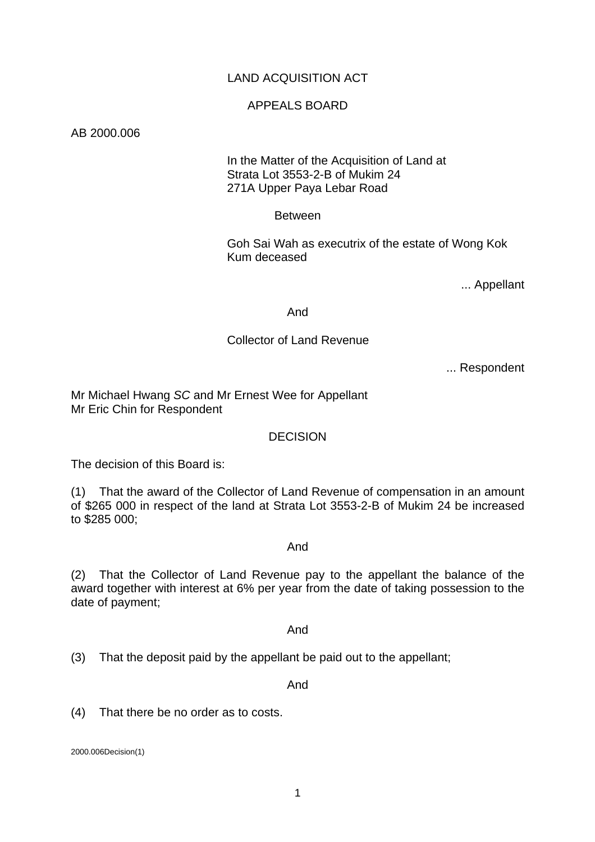# LAND ACQUISITION ACT

# APPEALS BOARD

#### AB 2000.006

# In the Matter of the Acquisition of Land at Strata Lot 3553-2-B of Mukim 24 271A Upper Paya Lebar Road

### Between

 Goh Sai Wah as executrix of the estate of Wong Kok Kum deceased

... Appellant

#### And

### Collector of Land Revenue

... Respondent

Mr Michael Hwang *SC* and Mr Ernest Wee for Appellant Mr Eric Chin for Respondent

#### **DECISION**

The decision of this Board is:

(1) That the award of the Collector of Land Revenue of compensation in an amount of \$265 000 in respect of the land at Strata Lot 3553-2-B of Mukim 24 be increased to \$285 000;

#### And

(2) That the Collector of Land Revenue pay to the appellant the balance of the award together with interest at 6% per year from the date of taking possession to the date of payment;

#### And

(3) That the deposit paid by the appellant be paid out to the appellant;

And

(4) That there be no order as to costs.

2000.006Decision(1)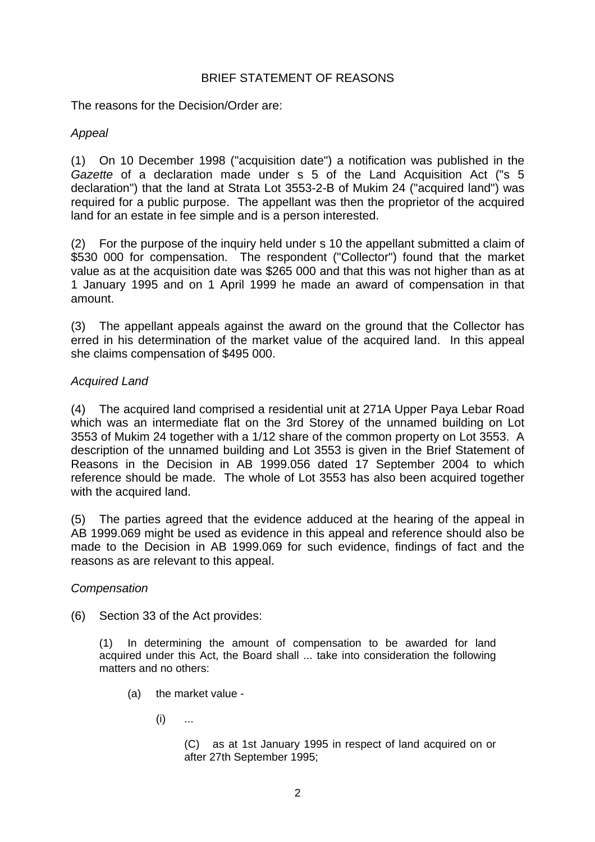# BRIEF STATEMENT OF REASONS

The reasons for the Decision/Order are:

# *Appeal*

(1) On 10 December 1998 ("acquisition date") a notification was published in the *Gazette* of a declaration made under s 5 of the Land Acquisition Act ("s 5 declaration") that the land at Strata Lot 3553-2-B of Mukim 24 ("acquired land") was required for a public purpose. The appellant was then the proprietor of the acquired land for an estate in fee simple and is a person interested.

(2) For the purpose of the inquiry held under s 10 the appellant submitted a claim of \$530 000 for compensation. The respondent ("Collector") found that the market value as at the acquisition date was \$265 000 and that this was not higher than as at 1 January 1995 and on 1 April 1999 he made an award of compensation in that amount.

(3) The appellant appeals against the award on the ground that the Collector has erred in his determination of the market value of the acquired land. In this appeal she claims compensation of \$495 000.

# *Acquired Land*

(4) The acquired land comprised a residential unit at 271A Upper Paya Lebar Road which was an intermediate flat on the 3rd Storey of the unnamed building on Lot 3553 of Mukim 24 together with a 1/12 share of the common property on Lot 3553. A description of the unnamed building and Lot 3553 is given in the Brief Statement of Reasons in the Decision in AB 1999.056 dated 17 September 2004 to which reference should be made. The whole of Lot 3553 has also been acquired together with the acquired land.

(5) The parties agreed that the evidence adduced at the hearing of the appeal in AB 1999.069 might be used as evidence in this appeal and reference should also be made to the Decision in AB 1999.069 for such evidence, findings of fact and the reasons as are relevant to this appeal.

# *Compensation*

(6) Section 33 of the Act provides:

(1) In determining the amount of compensation to be awarded for land acquired under this Act, the Board shall ... take into consideration the following matters and no others:

- (a) the market value
	- $(i)$  ...

 (C) as at 1st January 1995 in respect of land acquired on or after 27th September 1995;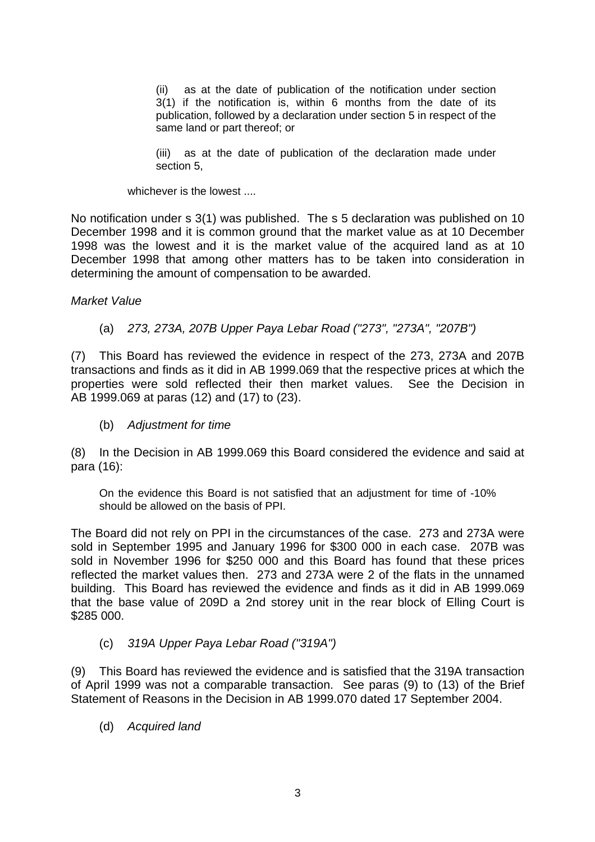(ii) as at the date of publication of the notification under section 3(1) if the notification is, within 6 months from the date of its publication, followed by a declaration under section 5 in respect of the same land or part thereof; or

(iii) as at the date of publication of the declaration made under section 5,

whichever is the lowest ....

No notification under s 3(1) was published. The s 5 declaration was published on 10 December 1998 and it is common ground that the market value as at 10 December 1998 was the lowest and it is the market value of the acquired land as at 10 December 1998 that among other matters has to be taken into consideration in determining the amount of compensation to be awarded.

### *Market Value*

(a) *273, 273A, 207B Upper Paya Lebar Road ("273", "273A", "207B")* 

(7) This Board has reviewed the evidence in respect of the 273, 273A and 207B transactions and finds as it did in AB 1999.069 that the respective prices at which the properties were sold reflected their then market values. See the Decision in AB 1999.069 at paras (12) and (17) to (23).

#### (b) *Adjustment for time*

(8) In the Decision in AB 1999.069 this Board considered the evidence and said at para (16):

On the evidence this Board is not satisfied that an adjustment for time of -10% should be allowed on the basis of PPI.

The Board did not rely on PPI in the circumstances of the case. 273 and 273A were sold in September 1995 and January 1996 for \$300 000 in each case. 207B was sold in November 1996 for \$250 000 and this Board has found that these prices reflected the market values then. 273 and 273A were 2 of the flats in the unnamed building. This Board has reviewed the evidence and finds as it did in AB 1999.069 that the base value of 209D a 2nd storey unit in the rear block of Elling Court is \$285 000.

# (c) *319A Upper Paya Lebar Road ("319A")*

(9) This Board has reviewed the evidence and is satisfied that the 319A transaction of April 1999 was not a comparable transaction. See paras (9) to (13) of the Brief Statement of Reasons in the Decision in AB 1999.070 dated 17 September 2004.

(d) *Acquired land*